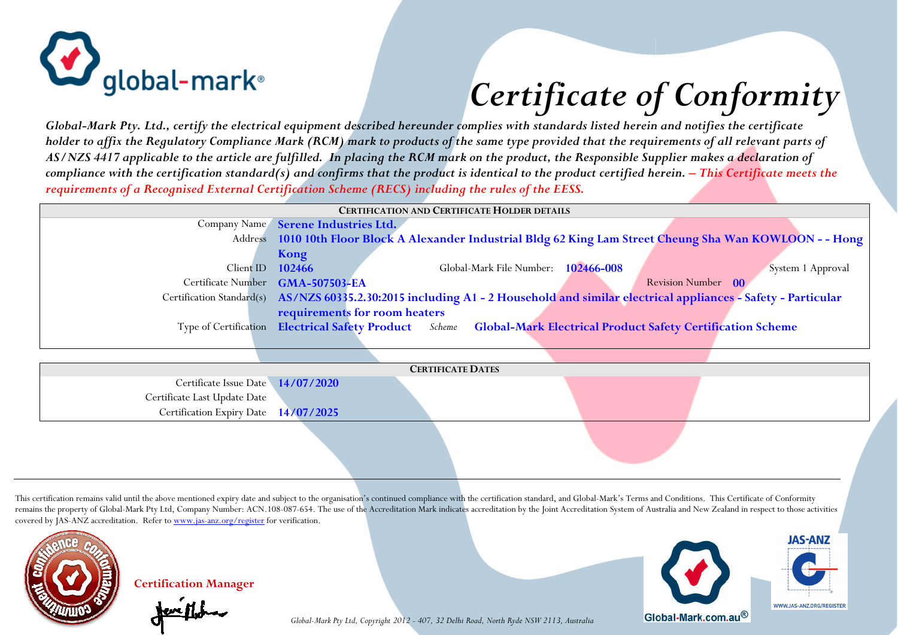

## *Certificate of Conformity*

*Global-Mark Pty. Ltd., certify the electrical equipment described hereunder complies with standards listed herein and notifies the certificate holder to affix the Regulatory Compliance Mark (RCM) mark to products of the same type provided that the requirements of all relevant parts of AS/NZS 4417 applicable to the article are fulfilled. In placing the RCM mark on the product, the Responsible Supplier makes a declaration of compliance with the certification standard(s) and confirms that the product is identical to the product certified herein. – This Certificate meets the requirements of a Recognised External Certification Scheme (RECS) including the rules of the EESS.*

| <b>CERTIFICATION AND CERTIFICATE HOLDER DETAILS</b> |                                                                                                              |                                     |  |                                                                                                                                     |  |  |  |  |
|-----------------------------------------------------|--------------------------------------------------------------------------------------------------------------|-------------------------------------|--|-------------------------------------------------------------------------------------------------------------------------------------|--|--|--|--|
|                                                     | Company Name Serene Industries Ltd.                                                                          |                                     |  |                                                                                                                                     |  |  |  |  |
|                                                     | Address 1010 10th Floor Block A Alexander Industrial Bldg 62 King Lam Street Cheung Sha Wan KOWLOON - - Hong |                                     |  |                                                                                                                                     |  |  |  |  |
|                                                     | Kong                                                                                                         |                                     |  |                                                                                                                                     |  |  |  |  |
| Client ID                                           | 102466                                                                                                       | Global-Mark File Number: 102466-008 |  | System 1 Approval                                                                                                                   |  |  |  |  |
|                                                     | Certificate Number GMA-507503-EA                                                                             |                                     |  | Revision Number 00                                                                                                                  |  |  |  |  |
|                                                     |                                                                                                              |                                     |  | Certification Standard(s) AS/NZS 60335.2.30:2015 including A1 - 2 Household and similar electrical appliances - Safety - Particular |  |  |  |  |
|                                                     | requirements for room heaters                                                                                |                                     |  |                                                                                                                                     |  |  |  |  |
|                                                     |                                                                                                              |                                     |  | Type of Certification Electrical Safety Product Scheme Global-Mark Electrical Product Safety Certification Scheme                   |  |  |  |  |
|                                                     |                                                                                                              |                                     |  |                                                                                                                                     |  |  |  |  |
|                                                     |                                                                                                              |                                     |  |                                                                                                                                     |  |  |  |  |
| <b>CERTIFICATE DATES</b>                            |                                                                                                              |                                     |  |                                                                                                                                     |  |  |  |  |
| Certificate Issue Date 14/07/2020                   |                                                                                                              |                                     |  |                                                                                                                                     |  |  |  |  |
| Certificate Last Update Date                        |                                                                                                              |                                     |  |                                                                                                                                     |  |  |  |  |
| Certification Expiry Date 14/07/2025                |                                                                                                              |                                     |  |                                                                                                                                     |  |  |  |  |
|                                                     |                                                                                                              |                                     |  |                                                                                                                                     |  |  |  |  |
|                                                     |                                                                                                              |                                     |  |                                                                                                                                     |  |  |  |  |

This certification remains valid until the above mentioned expiry date and subject to the organisation's continued compliance with the certification standard, and Global-Mark's Terms and Conditions. This Certificate of Con remains the property of Global-Mark Pty Ltd, Company Number: ACN.108-087-654. The use of the Accreditation Mark indicates accreditation by the Joint Accreditation System of Australia and New Zealand in respect to those act covered by JAS-ANZ accreditation. Refer to www.jas-anz.org/register for verification.



**Certification Manager**